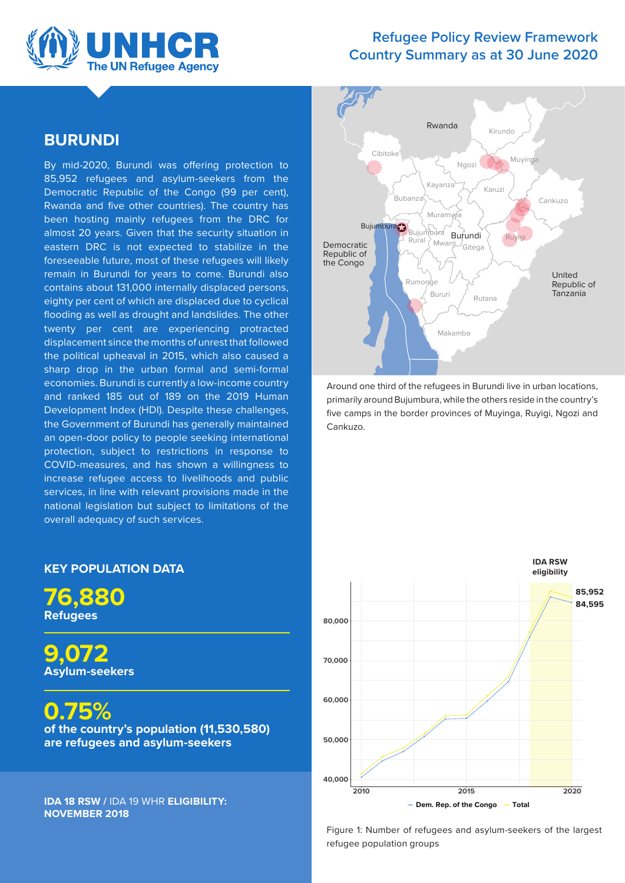

### **Refugee Policy Review Framework Country Summary as at 30 June 2020**

### **BURUNDI**

By mid-2020, Burundi was offering protection to 85,952 refugees and asylum-seekers from the Democratic Republic of the Congo (99 per cent), Rwanda and five other countries). The country has been hosting mainly refugees from the DRC for almost 20 years. Given that the security situation in eastern DRC is not expected to stabilize in the foreseeable future, most of these refugees will likely remain in Burundi for years to come. Burundi also contains about 131,000 internally displaced persons, eighty per cent of which are displaced due to cyclical flooding as well as drought and landslides. The other twenty per cent are experiencing protracted displacement since the months of unrest that followed the political upheaval in 2015, which also caused a sharp drop in the urban formal and semi-formal economies. Burundi is currently a low-income country and ranked 185 out of 189 on the 2019 Human Development Index (HDI). Despite these challenges, the Government of Burundi has generally maintained an open-door policy to people seeking international protection, subject to restrictions in response to COVID-measures, and has shown a willingness to increase refugee access to livelihoods and public services, in line with relevant provisions made in the national legislation but subject to limitations of the overall adequacy of such services.



Around one third of the refugees in Burundi live in urban locations, primarily around Bujumbura, while the others reside in the country's five camps in the border provinces of Muyinga, Ruyigi, Ngozi and Cankuzo.



Figure 1: Number of refugees and asylum-seekers of the largest refugee population groups

### **KEY POPULATION DATA**

**76,880 Refugees** 

**9,072 Asylum-seekers** 

**0.75% of the country's population (11,530,580) are refugees and asylum-seekers** 

**IDA 18 RSW /** IDA 19 WHR **ELIGIBILITY: NOVEMBER 2018**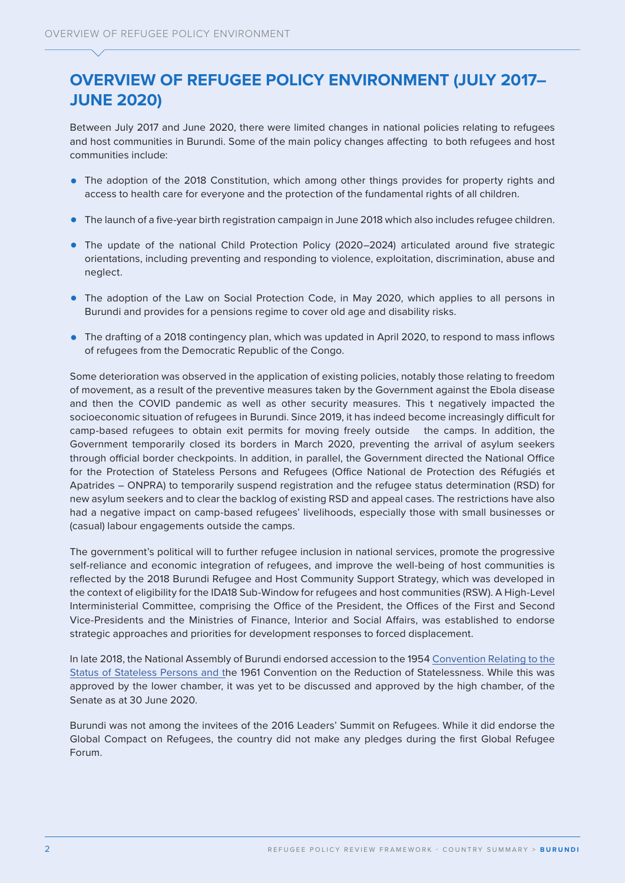# **OVERVIEW OF REFUGEE POLICY ENVIRONMENT (JULY 2017– JUNE 2020)**

Between July 2017 and June 2020, there were limited changes in national policies relating to refugees and host communities in Burundi. Some of the main policy changes affecting to both refugees and host communities include:

- The adoption of the 2018 Constitution, which among other things provides for property rights and access to health care for everyone and the protection of the fundamental rights of all children.
- **•** The launch of a five-year birth registration campaign in June 2018 which also includes refugee children.
- **•** The update of the national Child Protection Policy (2020–2024) articulated around five strategic orientations, including preventing and responding to violence, exploitation, discrimination, abuse and neglect.
- **•** The adoption of the Law on Social Protection Code, in May 2020, which applies to all persons in Burundi and provides for a pensions regime to cover old age and disability risks.
- **•** The drafting of a 2018 contingency plan, which was updated in April 2020, to respond to mass inflows of refugees from the Democratic Republic of the Congo.

Some deterioration was observed in the application of existing policies, notably those relating to freedom of movement, as a result of the preventive measures taken by the Government against the Ebola disease and then the COVID pandemic as well as other security measures. This t negatively impacted the socioeconomic situation of refugees in Burundi. Since 2019, it has indeed become increasingly difficult for camp-based refugees to obtain exit permits for moving freely outside the camps. In addition, the Government temporarily closed its borders in March 2020, preventing the arrival of asylum seekers through official border checkpoints. In addition, in parallel, the Government directed the National Office for the Protection of Stateless Persons and Refugees (Office National de Protection des Réfugiés et Apatrides – ONPRA) to temporarily suspend registration and the refugee status determination (RSD) for new asylum seekers and to clear the backlog of existing RSD and appeal cases. The restrictions have also had a negative impact on camp-based refugees' livelihoods, especially those with small businesses or (casual) labour engagements outside the camps.

The government's political will to further refugee inclusion in national services, promote the progressive self-reliance and economic integration of refugees, and improve the well-being of host communities is reflected by the 2018 Burundi Refugee and Host Community Support Strategy, which was developed in the context of eligibility for the IDA18 Sub-Window for refugees and host communities (RSW). A High-Level Interministerial Committee, comprising the Office of the President, the Offices of the First and Second Vice-Presidents and the Ministries of Finance, Interior and Social Affairs, was established to endorse strategic approaches and priorities for development responses to forced displacement.

In late 2018, the National Assembly of Burundi endorsed accession to the 1954 [Convention Relating to the](https://www.unhcr.org/afr/protection/statelessness/3bbb25729/convention-relating-status-stateless-persons)  [Status of Stateless Persons and th](https://www.unhcr.org/afr/protection/statelessness/3bbb25729/convention-relating-status-stateless-persons)e [1961 Convention on the Reduction of Statelessness.](https://www.unhcr.org/afr/protection/statelessness/3bbb25729/convention-relating-status-stateless-persons) While this was approved by the lower chamber, it was yet to be discussed and approved by the high chamber, of the Senate as at 30 June 2020.

Burundi was not among the invitees of the 2016 Leaders' Summit on Refugees. While it did endorse the Global Compact on Refugees, the country did not make any pledges during the first Global Refugee Forum.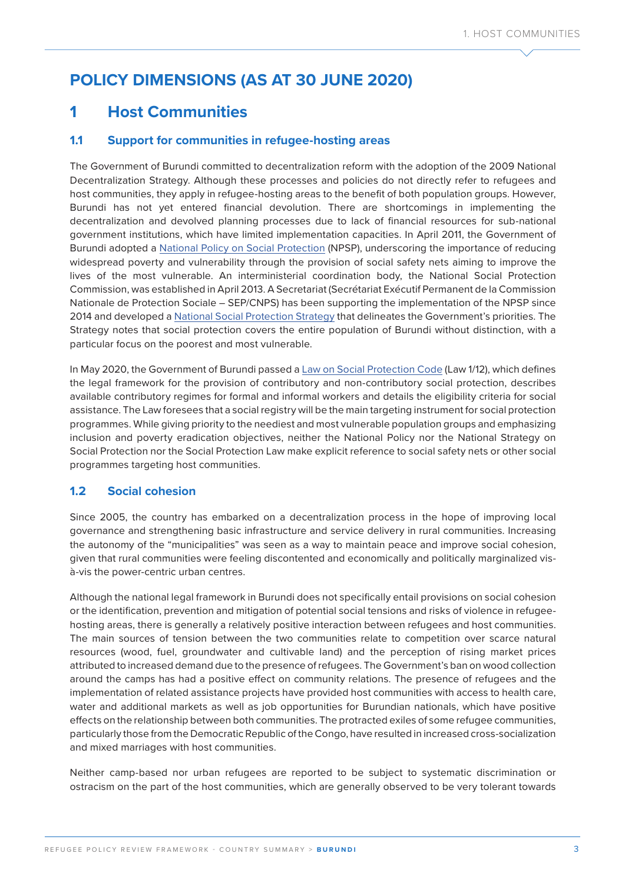# **POLICY DIMENSIONS (AS AT 30 JUNE 2020)**

### **1 Host Communities**

### **1.1 Support for communities in refugee-hosting areas**

The Government of Burundi committed to decentralization reform with the adoption of the 2009 National Decentralization Strategy. Although these processes and policies do not directly refer to refugees and host communities, they apply in refugee-hosting areas to the benefit of both population groups. However, Burundi has not yet entered financial devolution. There are shortcomings in implementing the decentralization and devolved planning processes due to lack of financial resources for sub-national government institutions, which have limited implementation capacities. In April 2011, the Government of Burundi adopted a [National Policy on Social Protection](http://www.ilo.org/dyn/natlex/docs/ELECTRONIC/96353/137689/F159921121/BDI-96353.pdf) (NPSP), underscoring the importance of reducing widespread poverty and vulnerability through the provision of social safety nets aiming to improve the lives of the most vulnerable. An interministerial coordination body, the National Social Protection Commission, was established in April 2013. A Secretariat (Secrétariat Exécutif Permanent de la Commission Nationale de Protection Sociale – SEP/CNPS) has been supporting the implementation of the NPSP since 2014 and developed a [National Social Protection Strategy](https://www.ilo.org/dyn/natlex/docs/ELECTRONIC/110614/137626/F444053803/BDI-110614.pdf) that delineates the Government's priorities. The Strategy notes that social protection covers the entire population of Burundi without distinction, with a particular focus on the poorest and most vulnerable.

In May 2020, the Government of Burundi passed a [Law on Social Protection Code](http://www.droit-afrique.com/uploads/Burundi-Loi-2020-12-code-protection-sociale.pdf) (Law 1/12), which defines the legal framework for the provision of contributory and non-contributory social protection, describes available contributory regimes for formal and informal workers and details the eligibility criteria for social assistance. The Law foresees that a social registry will be the main targeting instrument for social protection programmes. While giving priority to the neediest and most vulnerable population groups and emphasizing inclusion and poverty eradication objectives, neither the National Policy nor the National Strategy on Social Protection nor the Social Protection Law make explicit reference to social safety nets or other social programmes targeting host communities.

### **1.2 Social cohesion**

Since 2005, the country has embarked on a decentralization process in the hope of improving local governance and strengthening basic infrastructure and service delivery in rural communities. Increasing the autonomy of the "municipalities" was seen as a way to maintain peace and improve social cohesion, given that rural communities were feeling discontented and economically and politically marginalized visà-vis the power-centric urban centres.

Although the national legal framework in Burundi does not specifically entail provisions on social cohesion or the identification, prevention and mitigation of potential social tensions and risks of violence in refugeehosting areas, there is generally a relatively positive interaction between refugees and host communities. The main sources of tension between the two communities relate to competition over scarce natural resources (wood, fuel, groundwater and cultivable land) and the perception of rising market prices attributed to increased demand due to the presence of refugees. The Government's ban on wood collection around the camps has had a positive effect on community relations. The presence of refugees and the implementation of related assistance projects have provided host communities with access to health care, water and additional markets as well as job opportunities for Burundian nationals, which have positive effects on the relationship between both communities. The protracted exiles of some refugee communities, particularly those from the Democratic Republic of the Congo, have resulted in increased cross-socialization and mixed marriages with host communities.

Neither camp-based nor urban refugees are reported to be subject to systematic discrimination or ostracism on the part of the host communities, which are generally observed to be very tolerant towards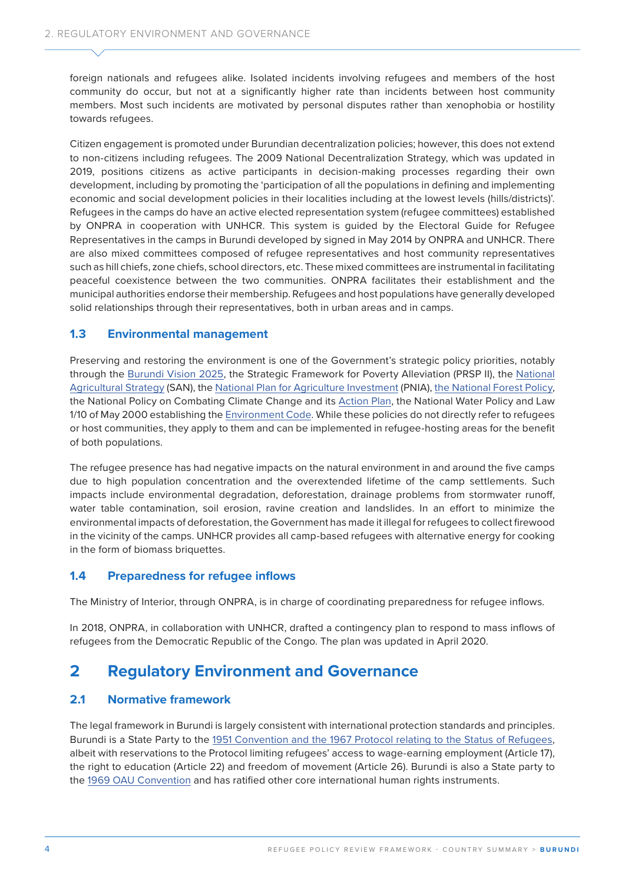foreign nationals and refugees alike. Isolated incidents involving refugees and members of the host community do occur, but not at a significantly higher rate than incidents between host community members. Most such incidents are motivated by personal disputes rather than xenophobia or hostility towards refugees.

Citizen engagement is promoted under Burundian decentralization policies; however, this does not extend to non-citizens including refugees. The 2009 National Decentralization Strategy, which was updated in 2019, positions citizens as active participants in decision-making processes regarding their own development, including by promoting the 'participation of all the populations in defining and implementing economic and social development policies in their localities including at the lowest levels (hills/districts)'. Refugees in the camps do have an active elected representation system (refugee committees) established by ONPRA in cooperation with UNHCR. This system is guided by the Electoral Guide for Refugee Representatives in the camps in Burundi developed by signed in May 2014 by ONPRA and UNHCR. There are also mixed committees composed of refugee representatives and host community representatives such as hill chiefs, zone chiefs, school directors, etc. These mixed committees are instrumental in facilitating peaceful coexistence between the two communities. ONPRA facilitates their establishment and the municipal authorities endorse their membership. Refugees and host populations have generally developed solid relationships through their representatives, both in urban areas and in camps.

### **1.3 Environmental management**

Preserving and restoring the environment is one of the Government's strategic policy priorities, notably through the [Burundi Vision 2025](file:///C:\Users\HAMON\Downloads\UNDP-bi-vision-burundi-2025_complete_EN.pdf), the Strategic Framework for Poverty Alleviation (PRSP II), the [National](http://extwprlegs1.fao.org/docs/pdf/Bur190783.pdf)  [Agricultural Strategy](http://extwprlegs1.fao.org/docs/pdf/Bur190783.pdf) (SAN), the [National Plan for Agriculture Investment](https://bi.chm-cbd.net/sites/test-bi/files/2019-10/plan-nat-inv-agri-bi.pdf) (PNIA), [the National Forest Policy](http://extwprlegs1.fao.org/docs/pdf/bur143696.pdf), the National Policy on Combating Climate Change and its [Action Plan,](https://unfccc.int/resource/docs/napa/bdi01e.pdf) the National Water Policy and Law 1/10 of May 2000 establishing the [Environment Code.](http://extwprlegs1.fao.org/docs/pdf/bur25325.pdf) While these policies do not directly refer to refugees or host communities, they apply to them and can be implemented in refugee-hosting areas for the benefit of both populations.

The refugee presence has had negative impacts on the natural environment in and around the five camps due to high population concentration and the overextended lifetime of the camp settlements. Such impacts include environmental degradation, deforestation, drainage problems from stormwater runoff, water table contamination, soil erosion, ravine creation and landslides. In an effort to minimize the environmental impacts of deforestation, the Government has made it illegal for refugees to collect firewood in the vicinity of the camps. UNHCR provides all camp-based refugees with alternative energy for cooking in the form of biomass briquettes.

#### **1.4 Preparedness for refugee inflows**

The Ministry of Interior, through ONPRA, is in charge of coordinating preparedness for refugee inflows.

In 2018, ONPRA, in collaboration with UNHCR, drafted a contingency plan to respond to mass inflows of refugees from the Democratic Republic of the Congo. The plan was updated in April 2020.

### **2 Regulatory Environment and Governance**

### **2.1 Normative framework**

The legal framework in Burundi is largely consistent with international protection standards and principles. Burundi is a State Party to the [1951 Convention and the 1967 Protocol relating to the Status of Refugees](https://www.unhcr.org/3b66c2aa10), albeit with reservations to the Protocol limiting refugees' access to wage-earning employment (Article 17), the right to education (Article 22) and freedom of movement (Article 26). Burundi is also a State party to the [1969 OAU Convention](https://www.unhcr.org/about-us/background/45dc1a682/oau-convention-governing-specific-aspects-refugee-problems-africa-adopted.html) and has ratified other core international human rights instruments.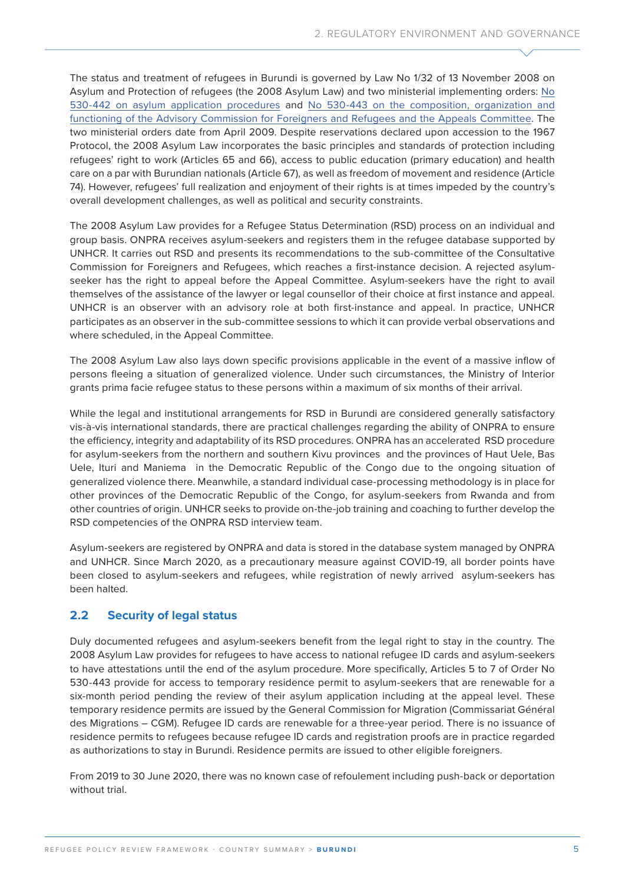The status and treatment of refugees in Burundi is governed by [Law No 1/32 of 13 November 2008 on](https://www.refworld.org/docid/49eef2572.html)  [Asylum and Protection of refugees](https://www.refworld.org/docid/49eef2572.html) (the 2008 Asylum Law) and two ministerial implementing orders: [No](https://www.refworld.org/cgi-bin/texis/vtx/rwmain?docid=49e718e22)  [530-442 on asylum application procedures](https://www.refworld.org/cgi-bin/texis/vtx/rwmain?docid=49e718e22) and [No 530-443 on the composition, organization and](https://www.refworld.org/country,,NATLEGBOD,DECREEES,BDI,,49e719652,0.html)  [functioning of the Advisory Commission for Foreigners and Refugees and the Appeals Committee](https://www.refworld.org/country,,NATLEGBOD,DECREEES,BDI,,49e719652,0.html). The two ministerial orders date from April 2009. Despite reservations declared upon accession to the 1967 Protocol, the 2008 Asylum Law incorporates the basic principles and standards of protection including refugees' right to work (Articles 65 and 66), access to public education (primary education) and health care on a par with Burundian nationals (Article 67), as well as freedom of movement and residence (Article 74). However, refugees' full realization and enjoyment of their rights is at times impeded by the country's overall development challenges, as well as political and security constraints.

The 2008 Asylum Law provides for a Refugee Status Determination (RSD) process on an individual and group basis. ONPRA receives asylum-seekers and registers them in the refugee database supported by UNHCR. It carries out RSD and presents its recommendations to the sub-committee of the Consultative Commission for Foreigners and Refugees, which reaches a first-instance decision. A rejected asylumseeker has the right to appeal before the Appeal Committee. Asylum-seekers have the right to avail themselves of the assistance of the lawyer or legal counsellor of their choice at first instance and appeal. UNHCR is an observer with an advisory role at both first-instance and appeal. In practice, UNHCR participates as an observer in the sub-committee sessions to which it can provide verbal observations and where scheduled, in the Appeal Committee.

The 2008 Asylum Law also lays down specific provisions applicable in the event of a massive inflow of persons fleeing a situation of generalized violence. Under such circumstances, the Ministry of Interior grants prima facie refugee status to these persons within a maximum of six months of their arrival.

While the legal and institutional arrangements for RSD in Burundi are considered generally satisfactory vis-à-vis international standards, there are practical challenges regarding the ability of ONPRA to ensure the efficiency, integrity and adaptability of its RSD procedures. ONPRA has an accelerated RSD procedure for asylum-seekers from the northern and southern Kivu provinces and the provinces of Haut Uele, Bas Uele, Ituri and Maniema in the Democratic Republic of the Congo due to the ongoing situation of generalized violence there. Meanwhile, a standard individual case-processing methodology is in place for other provinces of the Democratic Republic of the Congo, for asylum-seekers from Rwanda and from other countries of origin. UNHCR seeks to provide on-the-job training and coaching to further develop the RSD competencies of the ONPRA RSD interview team.

Asylum-seekers are registered by ONPRA and data is stored in the database system managed by ONPRA and UNHCR. Since March 2020, as a precautionary measure against COVID-19, all border points have been closed to asylum-seekers and refugees, while registration of newly arrived asylum-seekers has been halted.

### **2.2 Security of legal status**

Duly documented refugees and asylum-seekers benefit from the legal right to stay in the country. The 2008 Asylum Law provides for refugees to have access to national refugee ID cards and asylum-seekers to have attestations until the end of the asylum procedure. More specifically, Articles 5 to 7 of Order No 530-443 provide for access to temporary residence permit to asylum-seekers that are renewable for a six-month period pending the review of their asylum application including at the appeal level. These temporary residence permits are issued by the General Commission for Migration (Commissariat Général des Migrations – CGM). Refugee ID cards are renewable for a three-year period. There is no issuance of residence permits to refugees because refugee ID cards and registration proofs are in practice regarded as authorizations to stay in Burundi. Residence permits are issued to other eligible foreigners.

From 2019 to 30 June 2020, there was no known case of refoulement including push-back or deportation without trial.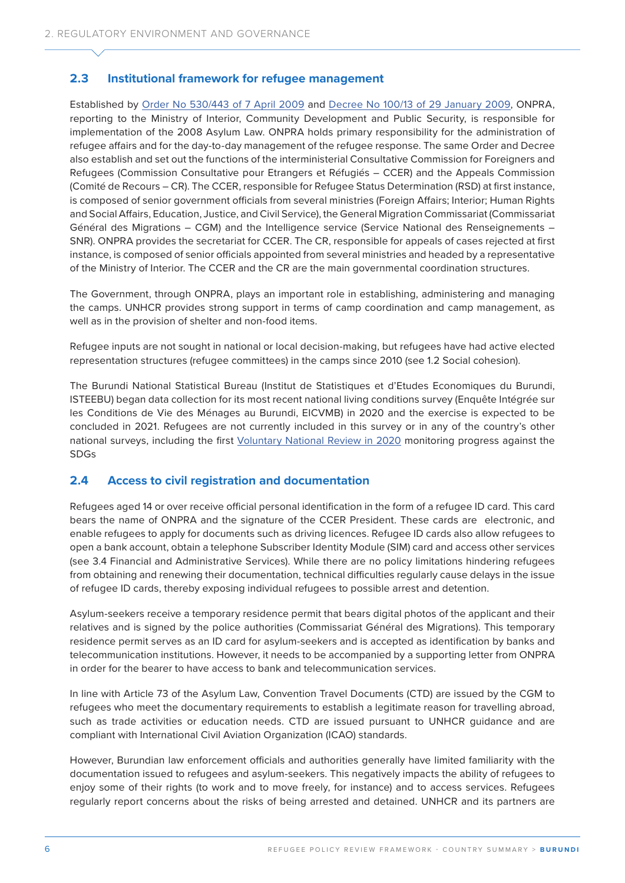### **2.3 Institutional framework for refugee management**

Established by [Order No 530/443 of 7 April 2009](https://www.refworld.org/cgi-bin/texis/vtx/rwmain?docid=49e718e22) and [Decree No 100/13 of 29 January 2009](http://extwprlegs1.fao.org/docs/pdf/bur143173.pdf), ONPRA, reporting to the Ministry of Interior, Community Development and Public Security, is responsible for implementation of the 2008 Asylum Law. ONPRA holds primary responsibility for the administration of refugee affairs and for the day-to-day management of the refugee response. The same Order and Decree also establish and set out the functions of the interministerial Consultative Commission for Foreigners and Refugees (Commission Consultative pour Etrangers et Réfugiés – CCER) and the Appeals Commission (Comité de Recours – CR). The CCER, responsible for Refugee Status Determination (RSD) at first instance, is composed of senior government officials from several ministries (Foreign Affairs; Interior; Human Rights and Social Affairs, Education, Justice, and Civil Service), the General Migration Commissariat (Commissariat Général des Migrations – CGM) and the Intelligence service (Service National des Renseignements – SNR). ONPRA provides the secretariat for CCER. The CR, responsible for appeals of cases rejected at first instance, is composed of senior officials appointed from several ministries and headed by a representative of the Ministry of Interior. The CCER and the CR are the main governmental coordination structures.

The Government, through ONPRA, plays an important role in establishing, administering and managing the camps. UNHCR provides strong support in terms of camp coordination and camp management, as well as in the provision of shelter and non-food items.

Refugee inputs are not sought in national or local decision-making, but refugees have had active elected representation structures (refugee committees) in the camps since 2010 (see 1.2 Social cohesion).

The Burundi National Statistical Bureau (Institut de Statistiques et d'Etudes Economiques du Burundi, ISTEEBU) began data collection for its most recent national living conditions survey (Enquête Intégrée sur les Conditions de Vie des Ménages au Burundi, EICVMB) in 2020 and the exercise is expected to be concluded in 2021. Refugees are not currently included in this survey or in any of the country's other national surveys, including the first [Voluntary National Review in 2020](https://sustainabledevelopment.un.org/content/documents/26316RAPPORTDELAMISEENOEUVREDESODDsAUBURUNDI.pdf) monitoring progress against the SDGs

#### **2.4 Access to civil registration and documentation**

Refugees aged 14 or over receive official personal identification in the form of a refugee ID card. This card bears the name of ONPRA and the signature of the CCER President. These cards are electronic, and enable refugees to apply for documents such as driving licences. Refugee ID cards also allow refugees to open a bank account, obtain a telephone Subscriber Identity Module (SIM) card and access other services (see 3.4 Financial and Administrative Services). While there are no policy limitations hindering refugees from obtaining and renewing their documentation, technical difficulties regularly cause delays in the issue of refugee ID cards, thereby exposing individual refugees to possible arrest and detention.

Asylum-seekers receive a temporary residence permit that bears digital photos of the applicant and their relatives and is signed by the police authorities (Commissariat Général des Migrations). This temporary residence permit serves as an ID card for asylum-seekers and is accepted as identification by banks and telecommunication institutions. However, it needs to be accompanied by a supporting letter from ONPRA in order for the bearer to have access to bank and telecommunication services.

In line with Article 73 of the Asylum Law, Convention Travel Documents (CTD) are issued by the CGM to refugees who meet the documentary requirements to establish a legitimate reason for travelling abroad, such as trade activities or education needs. CTD are issued pursuant to UNHCR guidance and are compliant with International Civil Aviation Organization (ICAO) standards.

However, Burundian law enforcement officials and authorities generally have limited familiarity with the documentation issued to refugees and asylum-seekers. This negatively impacts the ability of refugees to enjoy some of their rights (to work and to move freely, for instance) and to access services. Refugees regularly report concerns about the risks of being arrested and detained. UNHCR and its partners are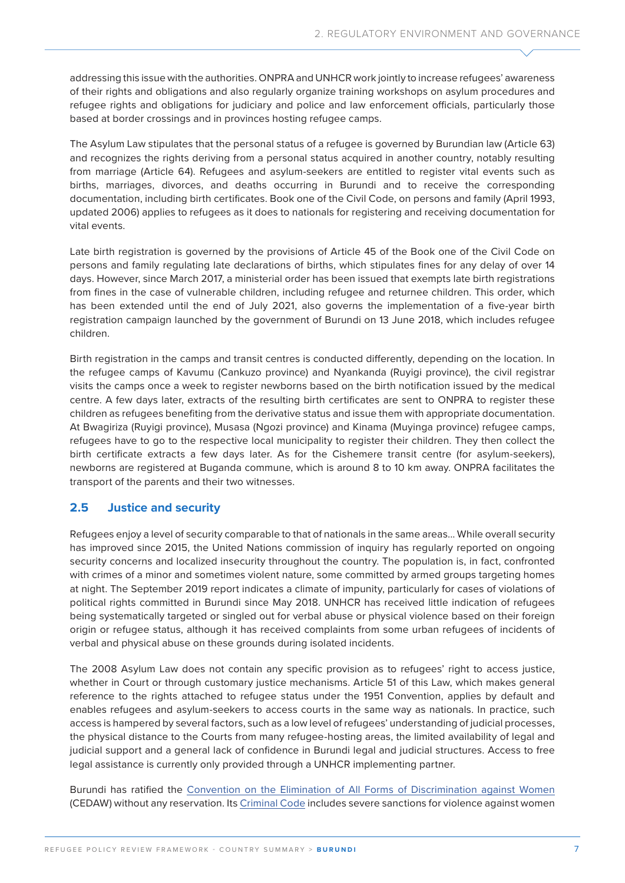addressing this issue with the authorities. ONPRA and UNHCR work jointly to increase refugees' awareness of their rights and obligations and also regularly organize training workshops on asylum procedures and refugee rights and obligations for judiciary and police and law enforcement officials, particularly those based at border crossings and in provinces hosting refugee camps.

The Asylum Law stipulates that the personal status of a refugee is governed by Burundian law (Article 63) and recognizes the rights deriving from a personal status acquired in another country, notably resulting from marriage (Article 64). Refugees and asylum-seekers are entitled to register vital events such as births, marriages, divorces, and deaths occurring in Burundi and to receive the corresponding documentation, including birth certificates. Book one of the [Civil Code](http://www.droit-afrique.com/upload/doc/burundi/Burundi-Code-civil.pdf), on persons and family (April 1993, updated 2006) applies to refugees as it does to nationals for registering and receiving documentation for vital events.

Late birth registration is governed by the provisions of Article 45 of the Book one of the Civil Code on persons and family regulating late declarations of births, which stipulates fines for any delay of over 14 days. However, since March 2017, a ministerial order has been issued that exempts late birth registrations from fines in the case of vulnerable children, including refugee and returnee children. This order, which has been extended until the end of July 2021, also governs the implementation of a five-year birth registration campaign launched by the government of Burundi on 13 June 2018, which includes refugee children.

Birth registration in the camps and transit centres is conducted differently, depending on the location. In the refugee camps of Kavumu (Cankuzo province) and Nyankanda (Ruyigi province), the civil registrar visits the camps once a week to register newborns based on the birth notification issued by the medical centre. A few days later, extracts of the resulting birth certificates are sent to ONPRA to register these children as refugees benefiting from the derivative status and issue them with appropriate documentation. At Bwagiriza (Ruyigi province), Musasa (Ngozi province) and Kinama (Muyinga province) refugee camps, refugees have to go to the respective local municipality to register their children. They then collect the birth certificate extracts a few days later. As for the Cishemere transit centre (for asylum-seekers), newborns are registered at Buganda commune, which is around 8 to 10 km away. ONPRA facilitates the transport of the parents and their two witnesses.

### **2.5 Justice and security**

Refugees enjoy a level of security comparable to that of nationals in the same areas... While overall security has improved since 2015, the United Nations commission of inquiry has regularly reported on ongoing security concerns and localized insecurity throughout the country. The population is, in fact, confronted with crimes of a minor and sometimes violent nature, some committed by armed groups targeting homes at night. The [September 2019 report](https://undocs.org/en/A/HRC/42/49) indicates a climate of impunity, particularly for cases of violations of political rights committed in Burundi since May 2018. UNHCR has received little indication of refugees being systematically targeted or singled out for verbal abuse or physical violence based on their foreign origin or refugee status, although it has received complaints from some urban refugees of incidents of verbal and physical abuse on these grounds during isolated incidents.

The 2008 Asylum Law does not contain any specific provision as to refugees' right to access justice, whether in Court or through customary justice mechanisms. Article 51 of this Law, which makes general reference to the rights attached to refugee status under the 1951 Convention, applies by default and enables refugees and asylum-seekers to access courts in the same way as nationals. In practice, such access is hampered by several factors, such as a low level of refugees' understanding of judicial processes, the physical distance to the Courts from many refugee-hosting areas, the limited availability of legal and judicial support and a general lack of confidence in Burundi legal and judicial structures. Access to free legal assistance is currently only provided through a UNHCR implementing partner.

Burundi has ratified the [Convention on the Elimination of All Forms of Discrimination against Women](https://www.ohchr.org/en/professionalinterest/pages/cedaw.aspx) (CEDAW) without any reservation. Its [Criminal Code](https://unhcr365-my.sharepoint.com/personal/hamon_unhcr_org/Documents/Desktop/DIP/WB/BDI/hl-databases.icrc.org/applic/ihl/ihl-nat.nsf/0/cb9d300d8db9fc37c125707300338af2/$FILE/Code%20Pénal%20du%20Burundi%20.pdf) includes severe sanctions for violence against women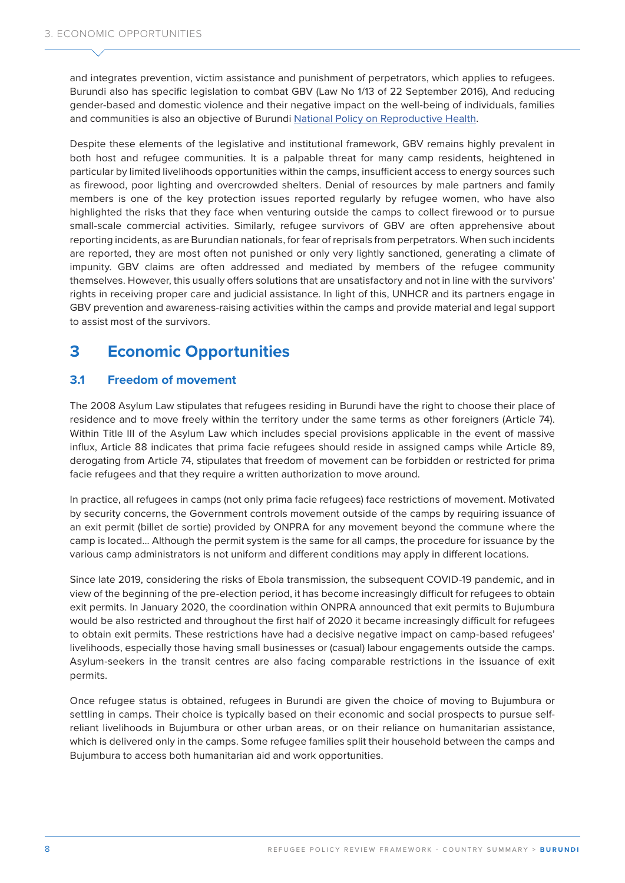and integrates prevention, victim assistance and punishment of perpetrators, which applies to refugees. Burundi also has specific legislation to combat GBV ([Law No 1/13 of 22 September 2016](http://ilo.org/dyn/natlex/docs/ELECTRONIC/104446/127404/F922003812/BDI-104446.pdf)), And reducing gender-based and domestic violence and their negative impact on the well-being of individuals, families and communities is also an objective of Burundi [National Policy on Reproductive Health.](https://www.prb.org/wp-content/uploads/2020/06/Burundi-Politique-Nationale-de-la-Sante-de-la-Reproduction-2007.pdf)

Despite these elements of the legislative and institutional framework, GBV remains highly prevalent in both host and refugee communities. It is a palpable threat for many camp residents, heightened in particular by limited livelihoods opportunities within the camps, insufficient access to energy sources such as firewood, poor lighting and overcrowded shelters. Denial of resources by male partners and family members is one of the key protection issues reported regularly by refugee women, who have also highlighted the risks that they face when venturing outside the camps to collect firewood or to pursue small-scale commercial activities. Similarly, refugee survivors of GBV are often apprehensive about reporting incidents, as are Burundian nationals, for fear of reprisals from perpetrators. When such incidents are reported, they are most often not punished or only very lightly sanctioned, generating a climate of impunity. GBV claims are often addressed and mediated by members of the refugee community themselves. However, this usually offers solutions that are unsatisfactory and not in line with the survivors' rights in receiving proper care and judicial assistance. In light of this, UNHCR and its partners engage in GBV prevention and awareness-raising activities within the camps and provide material and legal support to assist most of the survivors.

## **3 Economic Opportunities**

### **3.1 Freedom of movement**

The 2008 Asylum Law stipulates that refugees residing in Burundi have the right to choose their place of residence and to move freely within the territory under the same terms as other foreigners (Article 74). Within Title III of the Asylum Law which includes special provisions applicable in the event of massive influx, Article 88 indicates that prima facie refugees should reside in assigned camps while Article 89, derogating from Article 74, stipulates that freedom of movement can be forbidden or restricted for prima facie refugees and that they require a written authorization to move around.

In practice, all refugees in camps (not only prima facie refugees) face restrictions of movement. Motivated by security concerns, the Government controls movement outside of the camps by requiring issuance of an exit permit (billet de sortie) provided by ONPRA for any movement beyond the commune where the camp is located... Although the permit system is the same for all camps, the procedure for issuance by the various camp administrators is not uniform and different conditions may apply in different locations.

Since late 2019, considering the risks of Ebola transmission, the subsequent COVID-19 pandemic, and in view of the beginning of the pre-election period, it has become increasingly difficult for refugees to obtain exit permits. In January 2020, the coordination within ONPRA announced that exit permits to Bujumbura would be also restricted and throughout the first half of 2020 it became increasingly difficult for refugees to obtain exit permits. These restrictions have had a decisive negative impact on camp-based refugees' livelihoods, especially those having small businesses or (casual) labour engagements outside the camps. Asylum-seekers in the transit centres are also facing comparable restrictions in the issuance of exit permits.

Once refugee status is obtained, refugees in Burundi are given the choice of moving to Bujumbura or settling in camps. Their choice is typically based on their economic and social prospects to pursue selfreliant livelihoods in Bujumbura or other urban areas, or on their reliance on humanitarian assistance, which is delivered only in the camps. Some refugee families split their household between the camps and Bujumbura to access both humanitarian aid and work opportunities.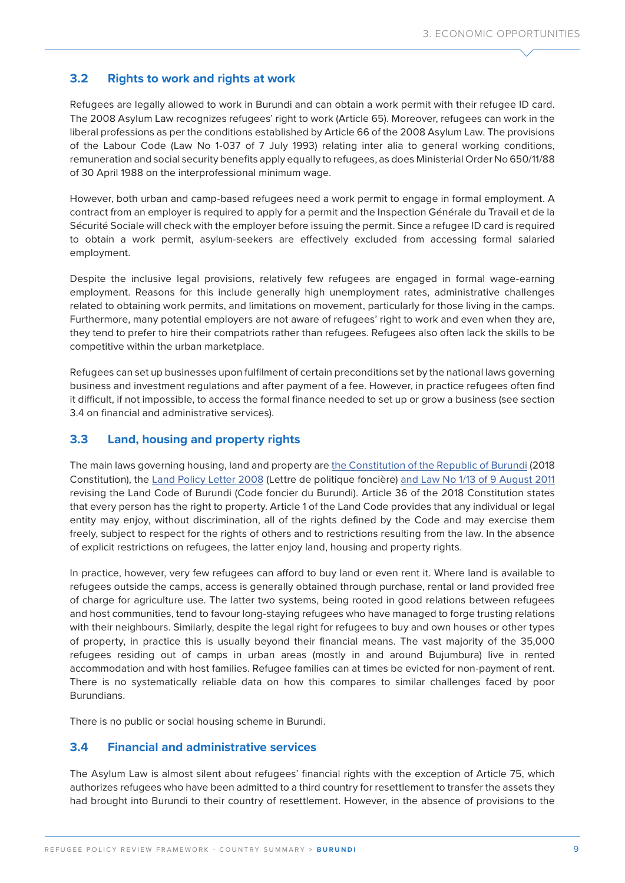### **3.2 Rights to work and rights at work**

Refugees are legally allowed to work in Burundi and can obtain a work permit with their refugee ID card. The 2008 Asylum Law recognizes refugees' right to work (Article 65). Moreover, refugees can work in the liberal professions as per the conditions established by Article 66 of the 2008 Asylum Law. The provisions of the [Labour Code](https://www.warnathgroup.com/wp-content/uploads/2017/10/Burundi-Labor-Code.pdf) (Law No 1-037 of 7 July 1993) relating inter alia to general working conditions, remuneration and social security benefits apply equally to refugees, as does [Ministerial Order No 650/11/88](https://www.ilo.org/dyn/travail/travmain.sectionReport1?p_lang=en&p_structure=1&p_year=2011&p_start=1&p_increment=10&p_sc_id=1&p_countries=HR&p_countries=BI&p_print=Y)  [of 30 April 1988](https://www.ilo.org/dyn/travail/travmain.sectionReport1?p_lang=en&p_structure=1&p_year=2011&p_start=1&p_increment=10&p_sc_id=1&p_countries=HR&p_countries=BI&p_print=Y) on the interprofessional minimum wage.

However, both urban and camp-based refugees need a work permit to engage in formal employment. A contract from an employer is required to apply for a permit and the Inspection Générale du Travail et de la Sécurité Sociale will check with the employer before issuing the permit. Since a refugee ID card is required to obtain a work permit, asylum-seekers are effectively excluded from accessing formal salaried employment.

Despite the inclusive legal provisions, relatively few refugees are engaged in formal wage-earning employment. Reasons for this include generally high unemployment rates, administrative challenges related to obtaining work permits, and limitations on movement, particularly for those living in the camps. Furthermore, many potential employers are not aware of refugees' right to work and even when they are, they tend to prefer to hire their compatriots rather than refugees. Refugees also often lack the skills to be competitive within the urban marketplace.

Refugees can set up businesses upon fulfilment of certain preconditions set by the national laws governing business and investment regulations and after payment of a fee. However, in practice refugees often find it difficult, if not impossible, to access the formal finance needed to set up or grow a business (see section 3.4 on financial and administrative services).

### **3.3 Land, housing and property rights**

The main laws governing housing, land and property are [the Constitution of the Republic of Burundi](https://www.constituteproject.org/constitution/Burundi_2018.pdf?lang=en) (2018 Constitution), the [Land Policy Letter 2008](https://unhcr365-my.sharepoint.com/personal/hamon_unhcr_org/Documents/Desktop/DIP/WB/BDI/the%20Land%20Policy%20letter%202008) (Lettre de politique foncière) [and Law No 1/13 of 9 August 2011](https://miparec.files.wordpress.com/2013/04/code-foncier-tr-kir-fr.pdf) revising the Land Code of Burundi (Code foncier du Burundi). Article 36 of the 2018 Constitution states that every person has the right to property. Article 1 of the Land Code provides that any individual or legal entity may enjoy, without discrimination, all of the rights defined by the Code and may exercise them freely, subject to respect for the rights of others and to restrictions resulting from the law. In the absence of explicit restrictions on refugees, the latter enjoy land, housing and property rights.

In practice, however, very few refugees can afford to buy land or even rent it. Where land is available to refugees outside the camps, access is generally obtained through purchase, rental or land provided free of charge for agriculture use. The latter two systems, being rooted in good relations between refugees and host communities, tend to favour long-staying refugees who have managed to forge trusting relations with their neighbours. Similarly, despite the legal right for refugees to buy and own houses or other types of property, in practice this is usually beyond their financial means. The vast majority of the 35,000 refugees residing out of camps in urban areas (mostly in and around Bujumbura) live in rented accommodation and with host families. Refugee families can at times be evicted for non-payment of rent. There is no systematically reliable data on how this compares to similar challenges faced by poor Burundians.

There is no public or social housing scheme in Burundi.

#### **3.4 Financial and administrative services**

The Asylum Law is almost silent about refugees' financial rights with the exception of Article 75, which authorizes refugees who have been admitted to a third country for resettlement to transfer the assets they had brought into Burundi to their country of resettlement. However, in the absence of provisions to the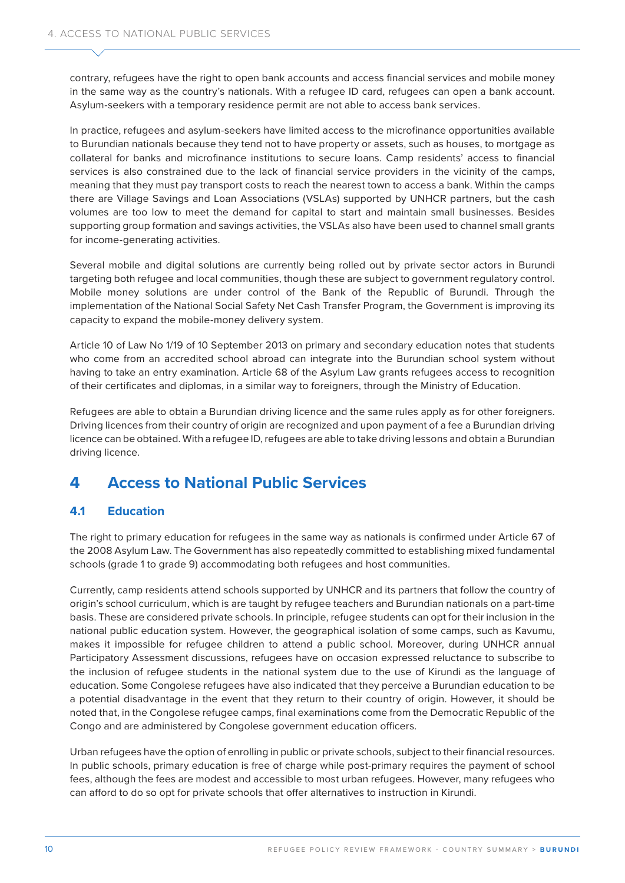contrary, refugees have the right to open bank accounts and access financial services and mobile money in the same way as the country's nationals. With a refugee ID card, refugees can open a bank account. Asylum-seekers with a temporary residence permit are not able to access bank services.

In practice, refugees and asylum-seekers have limited access to the microfinance opportunities available to Burundian nationals because they tend not to have property or assets, such as houses, to mortgage as collateral for banks and microfinance institutions to secure loans. Camp residents' access to financial services is also constrained due to the lack of financial service providers in the vicinity of the camps, meaning that they must pay transport costs to reach the nearest town to access a bank. Within the camps there are Village Savings and Loan Associations (VSLAs) supported by UNHCR partners, but the cash volumes are too low to meet the demand for capital to start and maintain small businesses. Besides supporting group formation and savings activities, the VSLAs also have been used to channel small grants for income-generating activities.

Several mobile and digital solutions are currently being rolled out by private sector actors in Burundi targeting both refugee and local communities, though these are subject to government regulatory control. Mobile money solutions are under control of the Bank of the Republic of Burundi. Through the implementation of the [National Social Safety Net Cash Transfer Program,](http://documents1.worldbank.org/curated/en/900951482030099834/pdf/1482030098559-000A10458-PAD-Burundi-SSN-11282016.pdf) the Government is improving its capacity to expand the mobile-money delivery system.

Article 10 of [Law No 1/19 of 10 September 2013](https://www.assemblee.bi/IMG/pdf/N%C2%B01_19_10_septembre_2013.pdf) on primary and secondary education notes that students who come from an accredited school abroad can integrate into the Burundian school system without having to take an entry examination. Article 68 of the Asylum Law grants refugees access to recognition of their certificates and diplomas, in a similar way to foreigners, through the Ministry of Education.

Refugees are able to obtain a Burundian driving licence and the same rules apply as for other foreigners. Driving licences from their country of origin are recognized and upon payment of a fee a Burundian driving licence can be obtained. With a refugee ID, refugees are able to take driving lessons and obtain a Burundian driving licence.

## **4 Access to National Public Services**

### **4.1 Education**

The right to primary education for refugees in the same way as nationals is confirmed under Article 67 of the 2008 Asylum Law. The Government has also repeatedly committed to establishing mixed fundamental schools (grade 1 to grade 9) accommodating both refugees and host communities.

Currently, camp residents attend schools supported by UNHCR and its partners that follow the country of origin's school curriculum, which is are taught by refugee teachers and Burundian nationals on a part-time basis. These are considered private schools. In principle, refugee students can opt for their inclusion in the national public education system. However, the geographical isolation of some camps, such as Kavumu, makes it impossible for refugee children to attend a public school. Moreover, during UNHCR annual Participatory Assessment discussions, refugees have on occasion expressed reluctance to subscribe to the inclusion of refugee students in the national system due to the use of Kirundi as the language of education. Some Congolese refugees have also indicated that they perceive a Burundian education to be a potential disadvantage in the event that they return to their country of origin. However, it should be noted that, in the Congolese refugee camps, final examinations come from the Democratic Republic of the Congo and are administered by Congolese government education officers.

Urban refugees have the option of enrolling in public or private schools, subject to their financial resources. In public schools, primary education is free of charge while post-primary requires the payment of school fees, although the fees are modest and accessible to most urban refugees. However, many refugees who can afford to do so opt for private schools that offer alternatives to instruction in Kirundi.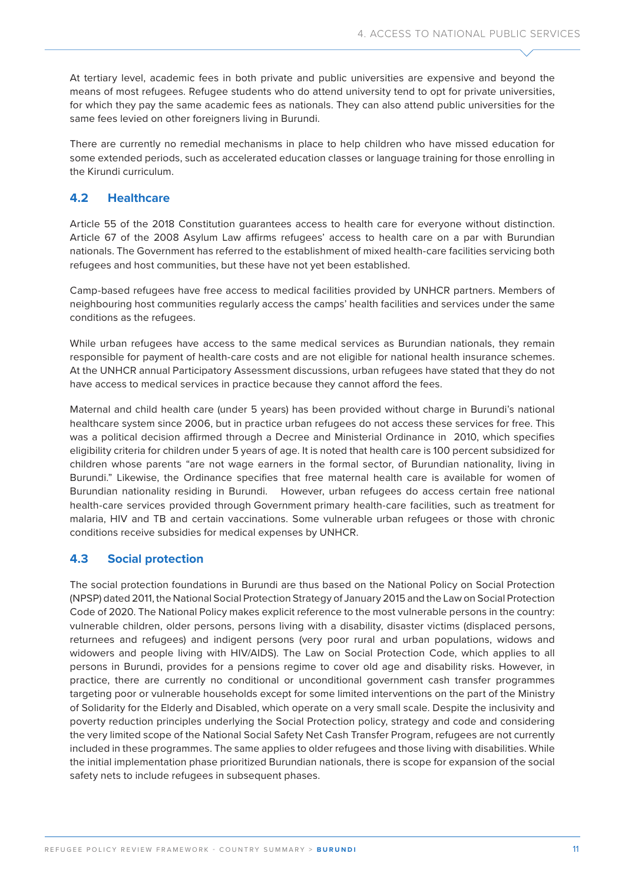At tertiary level, academic fees in both private and public universities are expensive and beyond the means of most refugees. Refugee students who do attend university tend to opt for private universities, for which they pay the same academic fees as nationals. They can also attend public universities for the same fees levied on other foreigners living in Burundi.

There are currently no remedial mechanisms in place to help children who have missed education for some extended periods, such as accelerated education classes or language training for those enrolling in the Kirundi curriculum.

### **4.2 Healthcare**

Article 55 of the 2018 Constitution guarantees access to health care for everyone without distinction. Article 67 of the 2008 Asylum Law affirms refugees' access to health care on a par with Burundian nationals. The Government has referred to the establishment of mixed health-care facilities servicing both refugees and host communities, but these have not yet been established.

Camp-based refugees have free access to medical facilities provided by UNHCR partners. Members of neighbouring host communities regularly access the camps' health facilities and services under the same conditions as the refugees.

While urban refugees have access to the same medical services as Burundian nationals, they remain responsible for payment of health-care costs and are not eligible for national health insurance schemes. At the UNHCR annual Participatory Assessment discussions, urban refugees have stated that they do not have access to medical services in practice because they cannot afford the fees.

Maternal and child health care (under 5 years) has been provided without charge in Burundi's national healthcare system since 2006, but in practice urban refugees do not access these services for free. This was a political decision affirmed through a Decree and Ministerial Ordinance in 2010, which specifies eligibility criteria for children under 5 years of age. It is noted that health care is 100 percent subsidized for children whose parents "are not wage earners in the formal sector, of Burundian nationality, living in Burundi." Likewise, the Ordinance specifies that free maternal health care is available for women of Burundian nationality residing in Burundi. However, urban refugees do access certain free national health-care services provided through Government primary health-care facilities, such as treatment for malaria, HIV and TB and certain vaccinations. Some vulnerable urban refugees or those with chronic conditions receive subsidies for medical expenses by UNHCR.

### **4.3 Social protection**

The social protection foundations in Burundi are thus based on the [National Policy on Social Protection](https://www.ilo.org/dyn/natlex/docs/ELECTRONIC/96353/137689/F159921121/BDI-96353.pdf) (NPSP) dated 2011, the [National Social Protection Strategy](https://www.ilo.org/dyn/natlex/docs/ELECTRONIC/110614/137626/F444053803/BDI-110614.pdf) of January 2015 and the [Law on Social Protection](http://www.droit-afrique.com/uploads/Burundi-Loi-2020-12-code-protection-sociale.pdf)  [Code](http://www.droit-afrique.com/uploads/Burundi-Loi-2020-12-code-protection-sociale.pdf) of 2020. The National Policy makes explicit reference to the most vulnerable persons in the country: vulnerable children, older persons, persons living with a disability, disaster victims (displaced persons, returnees and refugees) and indigent persons (very poor rural and urban populations, widows and widowers and people living with HIV/AIDS). The Law on Social Protection Code, which applies to all persons in Burundi, provides for a pensions regime to cover old age and disability risks. However, in practice, there are currently no conditional or unconditional government cash transfer programmes targeting poor or vulnerable households except for some limited interventions on the part of the Ministry of Solidarity for the Elderly and Disabled, which operate on a very small scale. Despite the inclusivity and poverty reduction principles underlying the Social Protection policy, strategy and code and considering the very limited scope of the [National Social Safety Net Cash Transfer Program](http://documents1.worldbank.org/curated/en/900951482030099834/pdf/1482030098559-000A10458-PAD-Burundi-SSN-11282016.pdf), refugees are not currently included in these programmes. The same applies to older refugees and those living with disabilities. While the initial implementation phase prioritized Burundian nationals, there is scope for expansion of the social safety nets to include refugees in subsequent phases.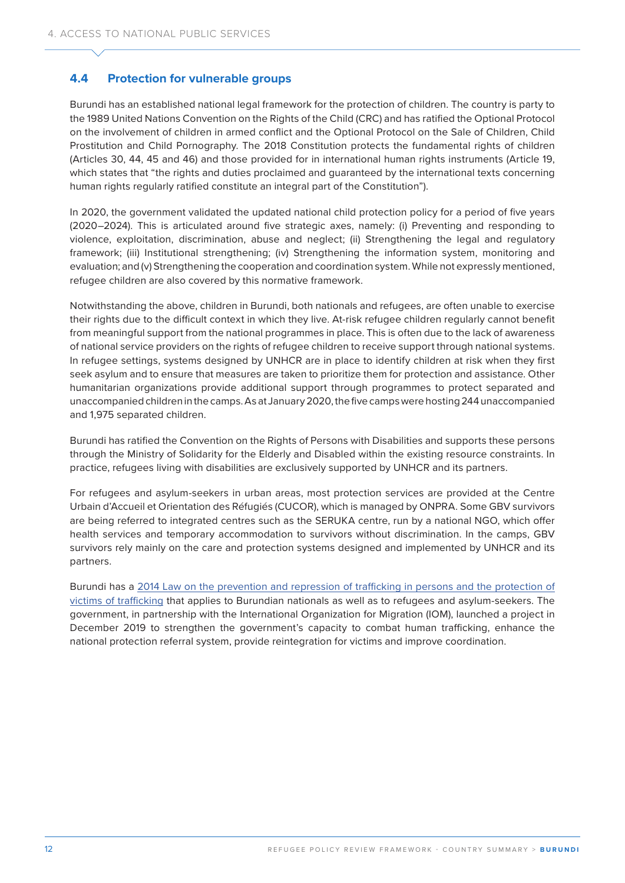### **4.4 Protection for vulnerable groups**

Burundi has an established national legal framework for the [protection](about:blank) of children. The country is party to the [1989 United Nations Convention on the Rights of the Child](https://unhcr365-my.sharepoint.com/personal/hamon_unhcr_org/Documents/Desktop/DIP/WB/BDI/1989%20UN%20Convention%20on%20the%20Rights%20of%20the%20Child) (CRC) and has ratified the [Optional Protocol](https://www.ohchr.org/en/professionalinterest/pages/opaccrc.aspx)  [on the involvement of children in armed conflict](https://www.ohchr.org/en/professionalinterest/pages/opaccrc.aspx) and the [Optional Protocol on the Sale of Children, Child](https://www.ohchr.org/en/professionalinterest/pages/opsccrc.aspx)  [Prostitution and Child Pornography.](https://www.ohchr.org/en/professionalinterest/pages/opsccrc.aspx) The [2018 Constitution](https://www.constituteproject.org/constitution/Burundi_2018.pdf?lang=en) protects the fundamental rights of children (Articles 30, 44, 45 and 46) and those provided for in international human rights instruments (Article 19, which states that "the rights and duties proclaimed and guaranteed by the international texts concerning human rights regularly ratified constitute an integral part of the Constitution").

In 2020, the government validated the updated national child protection policy for a period of five years (2020–2024). This is articulated around five strategic axes, namely: (i) Preventing and responding to violence, exploitation, discrimination, abuse and neglect; (ii) Strengthening the legal and regulatory framework; (iii) Institutional strengthening; (iv) Strengthening the information system, monitoring and evaluation; and (v) Strengthening the cooperation and coordination system. While not expressly mentioned, refugee children are also covered by this normative framework.

Notwithstanding the above, children in Burundi, both nationals and refugees, are often unable to exercise their rights due to the difficult context in which they live. At-risk refugee children regularly cannot benefit from meaningful support from the national programmes in place. This is often due to the lack of awareness of national service providers on the rights of refugee children to receive support through national systems. In refugee settings, systems designed by UNHCR are in place to identify children at risk when they first seek asylum and to ensure that measures are taken to prioritize them for protection and assistance. Other humanitarian organizations provide additional support through programmes to protect separated and unaccompanied children in the camps. As at January 2020, the five camps were hosting 244 unaccompanied and 1,975 separated children.

Burundi has ratified the Convention on the Rights of Persons with Disabilities and supports these persons through the Ministry of Solidarity for the Elderly and Disabled within the existing resource constraints. In practice, refugees living with disabilities are exclusively supported by UNHCR and its partners.

For refugees and asylum-seekers in urban areas, most protection services are provided at the Centre Urbain d'Accueil et Orientation des Réfugiés (CUCOR), which is managed by ONPRA. Some GBV survivors are being referred to integrated centres such as the SERUKA centre, run by a national NGO, which offer health services and temporary accommodation to survivors without discrimination. In the camps, GBV survivors rely mainly on the care and protection systems designed and implemented by UNHCR and its partners.

Burundi has a [2014 Law on the prevention and repression of trafficking in persons and the protection of](https://www.ilo.org/dyn/natlex/docs/ELECTRONIC/104447/127405/F127051135/BDI-104447.PDF)  [victims of trafficking](https://www.ilo.org/dyn/natlex/docs/ELECTRONIC/104447/127405/F127051135/BDI-104447.PDF) that applies to Burundian nationals as well as to refugees and asylum-seekers. The government, in partnership with the International Organization for Migration (IOM), launched a project in December 2019 to strengthen the government's capacity to combat human trafficking, enhance the national protection referral system, provide reintegration for victims and improve coordination.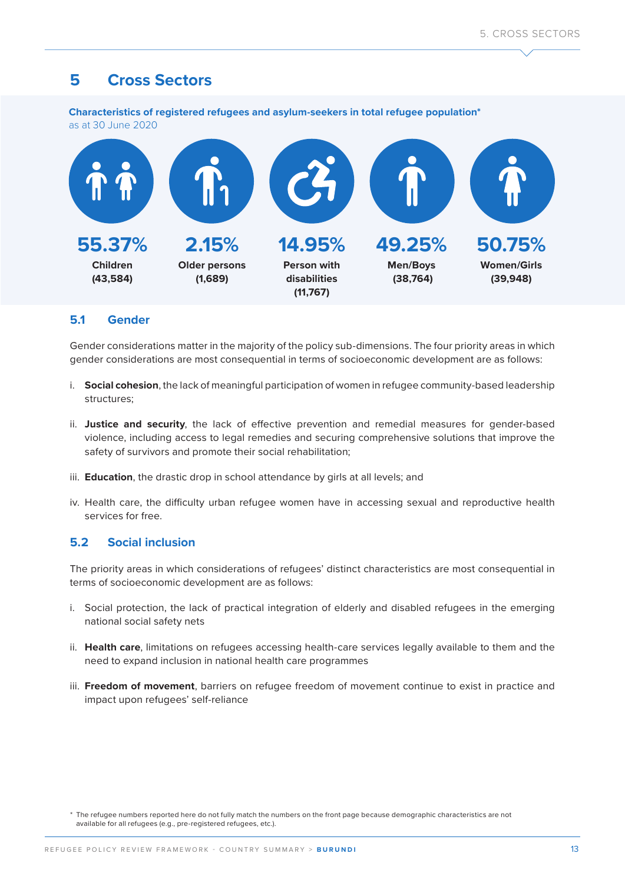## **5 Cross Sectors**

**Characteristics of registered refugees and asylum-seekers in total refugee population\***  as at 30 June 2020



### **5.1 Gender**

Gender considerations matter in the majority of the policy sub-dimensions. The four priority areas in which gender considerations are most consequential in terms of socioeconomic development are as follows:

- i. **Social cohesion**, the lack of meaningful participation of women in refugee community-based leadership structures;
- ii. **Justice and security**, the lack of effective prevention and remedial measures for gender-based violence, including access to legal remedies and securing comprehensive solutions that improve the safety of survivors and promote their social rehabilitation;
- iii. **Education**, the drastic drop in school attendance by girls at all levels; and
- iv. Health care, the difficulty urban refugee women have in accessing sexual and reproductive health services for free.

### **5.2 Social inclusion**

The priority areas in which considerations of refugees' distinct characteristics are most consequential in terms of socioeconomic development are as follows:

- i. Social protection, the lack of practical integration of elderly and disabled refugees in the emerging national social safety nets
- ii. **Health care**, limitations on refugees accessing health-care services legally available to them and the need to expand inclusion in national health care programmes
- iii. **Freedom of movement**, barriers on refugee freedom of movement continue to exist in practice and impact upon refugees' self-reliance

<sup>\*</sup> The refugee numbers reported here do not fully match the numbers on the front page because demographic characteristics are not available for all refugees (e.g., pre-registered refugees, etc.).